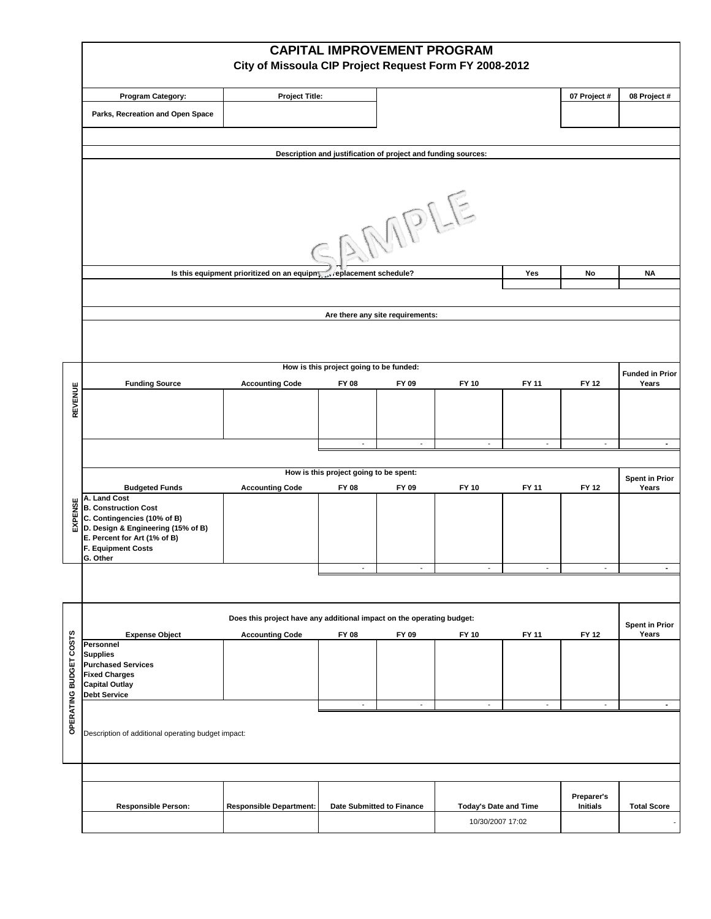|                | <b>CAPITAL IMPROVEMENT PROGRAM</b><br>City of Missoula CIP Project Request Form FY 2008-2012                                                                                              |                                        |                                         |                           |                              |                          |                               |                                |  |  |  |  |  |
|----------------|-------------------------------------------------------------------------------------------------------------------------------------------------------------------------------------------|----------------------------------------|-----------------------------------------|---------------------------|------------------------------|--------------------------|-------------------------------|--------------------------------|--|--|--|--|--|
|                | <b>Program Category:</b>                                                                                                                                                                  | <b>Project Title:</b>                  |                                         |                           |                              |                          | 07 Project #                  | 08 Project #                   |  |  |  |  |  |
|                | Parks, Recreation and Open Space                                                                                                                                                          |                                        |                                         |                           |                              |                          |                               |                                |  |  |  |  |  |
|                |                                                                                                                                                                                           |                                        |                                         |                           |                              |                          |                               |                                |  |  |  |  |  |
|                | Description and justification of project and funding sources:                                                                                                                             |                                        |                                         |                           |                              |                          |                               |                                |  |  |  |  |  |
|                |                                                                                                                                                                                           |                                        |                                         |                           |                              |                          |                               |                                |  |  |  |  |  |
|                | SAMPLE                                                                                                                                                                                    |                                        |                                         |                           |                              |                          |                               |                                |  |  |  |  |  |
|                | Is this equipment prioritized on an equipm, replacement schedule?                                                                                                                         | Yes                                    | No                                      | <b>NA</b>                 |                              |                          |                               |                                |  |  |  |  |  |
|                |                                                                                                                                                                                           |                                        |                                         |                           |                              |                          |                               |                                |  |  |  |  |  |
|                | Are there any site requirements:                                                                                                                                                          |                                        |                                         |                           |                              |                          |                               |                                |  |  |  |  |  |
|                |                                                                                                                                                                                           |                                        |                                         |                           |                              |                          |                               |                                |  |  |  |  |  |
|                |                                                                                                                                                                                           |                                        | How is this project going to be funded: |                           |                              |                          |                               | <b>Funded in Prior</b>         |  |  |  |  |  |
|                | <b>Funding Source</b>                                                                                                                                                                     | <b>Accounting Code</b>                 | FY 08                                   | FY 09                     | <b>FY 10</b>                 | FY 11                    | FY 12                         | Years                          |  |  |  |  |  |
| <b>REVENUE</b> |                                                                                                                                                                                           |                                        |                                         |                           |                              |                          |                               |                                |  |  |  |  |  |
|                |                                                                                                                                                                                           |                                        | $\overline{\phantom{a}}$                | $\overline{\phantom{a}}$  | $\sim$                       | $\sim$                   | $\overline{\phantom{a}}$      | $\blacksquare$                 |  |  |  |  |  |
|                |                                                                                                                                                                                           | How is this project going to be spent: |                                         |                           |                              |                          |                               |                                |  |  |  |  |  |
|                | <b>Budgeted Funds</b>                                                                                                                                                                     | <b>Accounting Code</b>                 | FY 08                                   | FY 09                     | <b>FY 10</b>                 | FY 11                    | FY 12                         | <b>Spent in Prior</b><br>Years |  |  |  |  |  |
| EXPENSE        | A. Land Cost<br><b>B. Construction Cost</b><br>C. Contingencies (10% of B)<br>D. Design & Engineering (15% of B)<br>E. Percent for Art (1% of B)<br><b>F. Equipment Costs</b><br>G. Other |                                        |                                         |                           |                              |                          |                               |                                |  |  |  |  |  |
|                |                                                                                                                                                                                           |                                        |                                         |                           |                              |                          |                               | $\blacksquare$                 |  |  |  |  |  |
|                |                                                                                                                                                                                           |                                        |                                         |                           |                              |                          |                               |                                |  |  |  |  |  |
|                | Does this project have any additional impact on the operating budget:<br><b>Spent in Prior</b>                                                                                            |                                        |                                         |                           |                              |                          |                               |                                |  |  |  |  |  |
| ဖာ<br>COST:    | <b>Expense Object</b><br>Personnel                                                                                                                                                        | <b>Accounting Code</b>                 | FY 08                                   | FY 09                     | <b>FY 10</b>                 | FY 11                    | <b>FY 12</b>                  | Years                          |  |  |  |  |  |
| <b>BUDGET</b>  | <b>Supplies</b><br><b>Purchased Services</b><br><b>Fixed Charges</b><br><b>Capital Outlay</b><br><b>Debt Service</b>                                                                      |                                        |                                         |                           |                              |                          |                               |                                |  |  |  |  |  |
|                |                                                                                                                                                                                           |                                        | $\overline{\phantom{a}}$                | $\overline{\phantom{a}}$  | $\overline{\phantom{a}}$     | $\overline{\phantom{a}}$ | $\overline{\phantom{a}}$      | $\blacksquare$                 |  |  |  |  |  |
| OPERATING      | Description of additional operating budget impact:                                                                                                                                        |                                        |                                         |                           |                              |                          |                               |                                |  |  |  |  |  |
|                |                                                                                                                                                                                           |                                        |                                         |                           |                              |                          |                               |                                |  |  |  |  |  |
|                | <b>Responsible Person:</b>                                                                                                                                                                | <b>Responsible Department:</b>         |                                         | Date Submitted to Finance | <b>Today's Date and Time</b> |                          | Preparer's<br><b>Initials</b> | <b>Total Score</b>             |  |  |  |  |  |
|                |                                                                                                                                                                                           |                                        |                                         |                           |                              | 10/30/2007 17:02         |                               |                                |  |  |  |  |  |